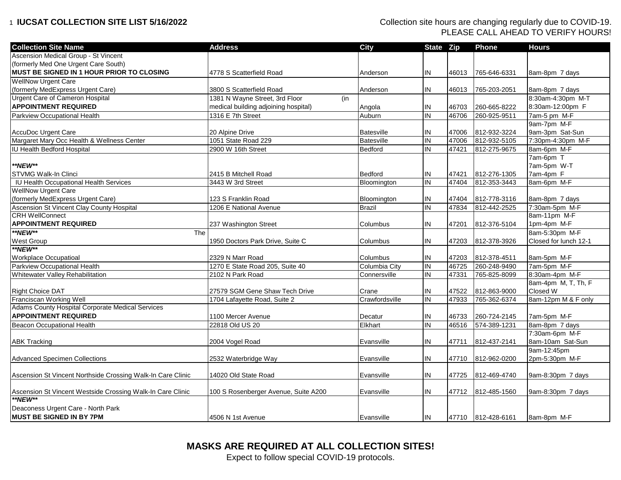| <b>Collection Site Name</b>                                 | <b>Address</b>                        | <b>City</b>       | State Zip                 |       | <b>Phone</b>       | <b>Hours</b>          |
|-------------------------------------------------------------|---------------------------------------|-------------------|---------------------------|-------|--------------------|-----------------------|
| Ascension Medical Group - St Vincent                        |                                       |                   |                           |       |                    |                       |
| (formerly Med One Urgent Care South)                        |                                       |                   |                           |       |                    |                       |
| MUST BE SIGNED IN 1 HOUR PRIOR TO CLOSING                   | 4778 S Scatterfield Road              | Anderson          | IN                        | 46013 | 765-646-6331       | 8am-8pm 7 days        |
| <b>WellNow Urgent Care</b>                                  |                                       |                   |                           |       |                    |                       |
| (formerly MedExpress Urgent Care)                           | 3800 S Scatterfield Road              | Anderson          | IN                        | 46013 | 765-203-2051       | 8am-8pm 7 days        |
| <b>Urgent Care of Cameron Hospital</b>                      | 1381 N Wayne Street, 3rd Floor<br>(in |                   |                           |       |                    | 8:30am-4:30pm M-T     |
| <b>APPOINTMENT REQUIRED</b>                                 | medical building adjoining hospital)  | Angola            | IN                        | 46703 | 260-665-8222       | 8:30am-12:00pm F      |
| Parkview Occupational Health                                | 1316 E 7th Street                     | Auburn            | IN                        | 46706 | 260-925-9511       | 7am-5 pm M-F          |
|                                                             |                                       |                   |                           |       |                    | 9am-7pm M-F           |
| <b>AccuDoc Urgent Care</b>                                  | 20 Alpine Drive                       | Batesville        | IN                        | 47006 | 812-932-3224       | 9am-3pm Sat-Sun       |
| Margaret Mary Occ Health & Wellness Center                  | 1051 State Road 229                   | <b>Batesville</b> | IN                        | 47006 | 812-932-5105       | 7:30pm-4:30pm M-F     |
| <b>IU Health Bedford Hospital</b>                           | 2900 W 16th Street                    | Bedford           | IN                        | 47421 | 812-275-9675       | 8am-6pm M-F           |
|                                                             |                                       |                   |                           |       |                    | 7am-6pm T             |
| **NEW**                                                     |                                       |                   |                           |       |                    | 7am-5pm W-T           |
| <b>STVMG Walk-In Clinci</b>                                 | 2415 B Mitchell Road                  | Bedford           | IN                        | 47421 | 812-276-1305       | 7am-4pm F             |
| <b>IU Health Occupational Health Services</b>               | 3443 W 3rd Street                     | Bloomington       | IN                        | 47404 | 812-353-3443       | 8am-6pm M-F           |
| <b>WellNow Urgent Care</b>                                  |                                       |                   |                           |       |                    |                       |
| (formerly MedExpress Urgent Care)                           | 123 S Franklin Road                   | Bloomington       | IN                        | 47404 | 812-778-3116       | 8am-8pm 7 days        |
| Ascension St Vincent Clay County Hospital                   | 1206 E National Avenue                | <b>Brazil</b>     | IN                        | 47834 | 812-442-2525       | 7:30am-5pm M-F        |
| <b>CRH WellConnect</b>                                      |                                       |                   |                           |       |                    | 8am-11pm M-F          |
| <b>APPOINTMENT REQUIRED</b>                                 | 237 Washington Street                 | Columbus          | IN                        | 47201 | 812-376-5104       | 1pm-4pm M-F           |
| **NEW**<br>The                                              |                                       |                   |                           |       |                    | 8am-5:30pm M-F        |
| <b>West Group</b>                                           | 1950 Doctors Park Drive, Suite C      | Columbus          | IN                        | 47203 | 812-378-3926       | Closed for lunch 12-1 |
| **NEW**                                                     |                                       |                   |                           |       |                    |                       |
| <b>Workplace Occupatioal</b>                                | 2329 N Marr Road                      | Columbus          | IN                        | 47203 | 812-378-4511       | 8am-5pm M-F           |
| Parkview Occupational Health                                | 1270 E State Road 205, Suite 40       | Columbia City     | IN                        | 46725 | 260-248-9490       | 7am-5pm M-F           |
| Whitewater Valley Rehabilitation                            | 2102 N Park Road                      | Connersville      | IN                        | 47331 | 765-825-8099       | 8:30am-4pm M-F        |
|                                                             |                                       |                   |                           |       |                    | 8am-4pm M, T, Th, F   |
| <b>Right Choice DAT</b>                                     | 27579 SGM Gene Shaw Tech Drive        | Crane             | IN                        | 47522 | 812-863-9000       | Closed W              |
| Franciscan Working Well                                     | 1704 Lafayette Road, Suite 2          | Crawfordsville    | $\overline{N}$            | 47933 | 765-362-6374       | 8am-12pm M & F only   |
| Adams County Hospital Corporate Medical Services            |                                       |                   |                           |       |                    |                       |
| <b>APPOINTMENT REQUIRED</b>                                 | 1100 Mercer Avenue                    | Decatur           | IN                        | 46733 | 260-724-2145       | 7am-5pm M-F           |
| <b>Beacon Occupational Health</b>                           | 22818 Old US 20                       | Elkhart           | $\overline{\overline{N}}$ | 46516 | 574-389-1231       | 8am-8pm 7 days        |
|                                                             |                                       |                   |                           |       |                    | 7:30am-6pm M-F        |
| <b>ABK Tracking</b>                                         | 2004 Vogel Road                       | Evansville        | IN                        | 47711 | 812-437-2141       | 8am-10am Sat-Sun      |
|                                                             |                                       |                   |                           |       |                    | 9am-12:45pm           |
| <b>Advanced Specimen Collections</b>                        | 2532 Waterbridge Way                  | Evansville        | ${\sf IN}$                | 47710 | 812-962-0200       | 2pm-5:30pm M-F        |
|                                                             |                                       |                   |                           |       |                    |                       |
| Ascension St Vincent Northside Crossing Walk-In Care Clinic | 14020 Old State Road                  | Evansville        | IN                        | 47725 | 812-469-4740       | 9am-8:30pm 7 days     |
|                                                             |                                       |                   |                           |       |                    |                       |
| Ascension St Vincent Westside Crossing Walk-In Care Clinic  | 100 S Rosenberger Avenue, Suite A200  | Evansville        | ${\sf IN}$                | 47712 | 812-485-1560       | 9am-8:30pm 7 days     |
| **NEW**                                                     |                                       |                   |                           |       |                    |                       |
| Deaconess Urgent Care - North Park                          |                                       |                   |                           |       |                    |                       |
| <b>MUST BE SIGNED IN BY 7PM</b>                             | 4506 N 1st Avenue                     | Evansville        | IN                        |       | 47710 812-428-6161 | 8am-8pm M-F           |

**MASKS ARE REQUIRED AT ALL COLLECTION SITES!**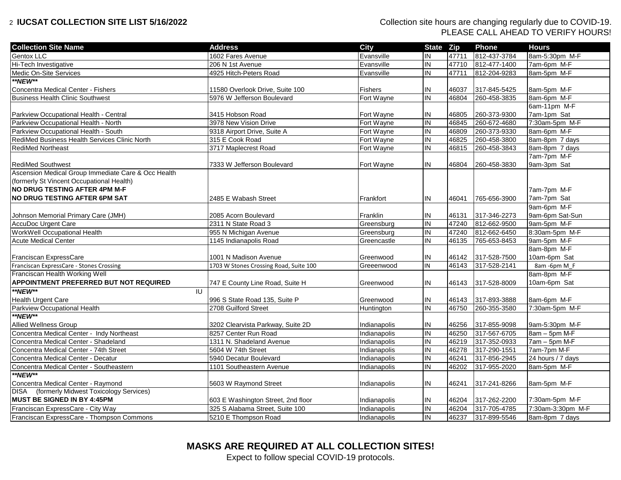| <b>Collection Site Name</b>                         | <b>Address</b>                         | City           | State Zip  |       | <b>Phone</b> | <b>Hours</b>      |
|-----------------------------------------------------|----------------------------------------|----------------|------------|-------|--------------|-------------------|
| Gentox LLC                                          | 1602 Fares Avenue                      | Evansville     | IN         | 47711 | 812-437-3784 | 8am-5:30pm M-F    |
| Hi-Tech Investigative                               | 206 N 1st Avenue                       | Evansville     | IN         | 47710 | 812-477-1400 | 7am-6pm M-F       |
| Medic On-Site Services                              | 4925 Hitch-Peters Road                 | Evansville     | IN         | 47711 | 812-204-9283 | 8am-5pm M-F       |
| **NEW**                                             |                                        |                |            |       |              |                   |
| Concentra Medical Center - Fishers                  | 11580 Overlook Drive, Suite 100        | <b>Fishers</b> | IN         | 46037 | 317-845-5425 | 8am-5pm M-F       |
| <b>Business Health Clinic Southwest</b>             | 5976 W Jefferson Boulevard             | Fort Wayne     | IN         | 46804 | 260-458-3835 | 8am-6pm M-F       |
|                                                     |                                        |                |            |       |              | 6am-11pm M-F      |
| Parkview Occupational Health - Central              | 3415 Hobson Road                       | Fort Wayne     | ${\sf IN}$ | 46805 | 260-373-9300 | 7am-1pm Sat       |
| Parkview Occupational Health - North                | 3978 New Vision Drive                  | Fort Wayne     | IN         | 46845 | 260-672-4680 | 7:30am-5pm M-F    |
| Parkview Occupational Health - South                | 9318 Airport Drive, Suite A            | Fort Wayne     | IN         | 46809 | 260-373-9330 | 8am-6pm M-F       |
| RediMed Business Health Services Clinic North       | 315 E Cook Road                        | Fort Wayne     | IN         | 46825 | 260-458-3800 | 8am-8pm 7 days    |
| <b>RediMed Northeast</b>                            | 3717 Maplecrest Road                   | Fort Wayne     | IN         | 46815 | 260-458-3843 | 8am-8pm 7 days    |
|                                                     |                                        |                |            |       |              | 7am-7pm M-F       |
| <b>RediMed Southwest</b>                            | 7333 W Jefferson Boulevard             | Fort Wayne     | IN         | 46804 | 260-458-3830 | 9am-3pm Sat       |
| Ascension Medical Group Immediate Care & Occ Health |                                        |                |            |       |              |                   |
| (formerly St Vincent Occupational Health)           |                                        |                |            |       |              |                   |
| NO DRUG TESTING AFTER 4PM M-F                       |                                        |                |            |       |              | 7am-7pm M-F       |
| <b>NO DRUG TESTING AFTER 6PM SAT</b>                | 2485 E Wabash Street                   | Frankfort      | IN         | 46041 | 765-656-3900 | 7am-7pm Sat       |
|                                                     |                                        |                |            |       |              | 9am-6pm M-F       |
| Johnson Memorial Primary Care (JMH)                 | 2085 Acorn Boulevard                   | Franklin       | IN         | 46131 | 317-346-2273 | 9am-6pm Sat-Sun   |
| AccuDoc Urgent Care                                 | 2311 N State Road 3                    | Greensburg     | ΙN         | 47240 | 812-662-9500 | 9am-5pm M-F       |
| WorkWell Occupational Health                        | 955 N Michigan Avenue                  | Greensburg     | IN         | 47240 | 812-662-6450 | 8:30am-5pm M-F    |
| <b>Acute Medical Center</b>                         | 1145 Indianapolis Road                 | Greencastle    | IN         | 46135 | 765-653-8453 | 9am-5pm M-F       |
|                                                     |                                        |                |            |       |              | 8am-8pm M-F       |
| Franciscan ExpressCare                              | 1001 N Madison Avenue                  | Greenwood      | IN         | 46142 | 317-528-7500 | 10am-6pm Sat      |
| Franciscan ExpressCare - Stones Crossing            | 1703 W Stones Crossing Road, Suite 100 | Greeenwood     | IN         | 46143 | 317-528-2141 | 8am -6pm M_F      |
| Franciscan Health Working Well                      |                                        |                |            |       |              | 8am-8pm M-F       |
| <b>APPOINTMENT PREFERRED BUT NOT REQUIRED</b>       | 747 E County Line Road, Suite H        | Greenwood      | IN         | 46143 | 317-528-8009 | 10am-6pm Sat      |
| **NEW**<br>IU                                       |                                        |                |            |       |              |                   |
| <b>Health Urgent Care</b>                           | 996 S State Road 135, Suite P          | Greenwood      | IN         | 46143 | 317-893-3888 | 8am-6pm M-F       |
| Parkview Occupational Health                        | 2708 Guilford Street                   | Huntington     | IN         | 46750 | 260-355-3580 | 7:30am-5pm M-F    |
| **NEW**                                             |                                        |                |            |       |              |                   |
| Allied Wellness Group                               | 3202 Clearvista Parkway, Suite 2D      | Indianapolis   | IN         | 46256 | 317-855-9098 | 9am-5:30pm M-F    |
| Concentra Medical Center - Indy Northeast           | 8257 Center Run Road                   | Indianapolis   | IN         | 46250 | 317-567-6705 | $8am - 5pm M-F$   |
| Concentra Medical Center - Shadeland                | 1311 N. Shadeland Avenue               | Indianapolis   | IN         | 46219 | 317-352-0933 | $7am - 5pm M-F$   |
| Concentra Medical Center - 74th Street              | 5604 W 74th Street                     | Indianapolis   | IN         | 46278 | 317-290-1551 | 7am-7pm M-F       |
| Concentra Medical Center - Decatur                  | 5940 Decatur Boulevard                 | Indianapolis   | IN         | 46241 | 317-856-2945 | 24 hours / 7 days |
| Concentra Medical Center - Southeastern             | 1101 Southeastern Avenue               | Indianapolis   | IN         | 46202 | 317-955-2020 | 8am-5pm M-F       |
| **NEW**                                             |                                        |                |            |       |              |                   |
| Concentra Medical Center - Raymond                  | 5603 W Raymond Street                  | Indianapolis   | IN         | 46241 | 317-241-8266 | 8am-5pm M-F       |
| DISA (formerly Midwest Toxicology Services)         |                                        |                |            |       |              |                   |
| MUST BE SIGNED IN BY 4:45PM                         | 603 E Washington Street, 2nd floor     | Indianapolis   | IN         | 46204 | 317-262-2200 | 7:30am-5pm M-F    |
| Franciscan ExpressCare - City Way                   | 325 S Alabama Street, Suite 100        | Indianapolis   | IN         | 46204 | 317-705-4785 | 7:30am-3:30pm M-F |
| Franciscan ExpressCare - Thompson Commons           | 5210 E Thompson Road                   | Indianapolis   | IN         | 46237 | 317-899-5546 | 8am-8pm 7 days    |

# **MASKS ARE REQUIRED AT ALL COLLECTION SITES!**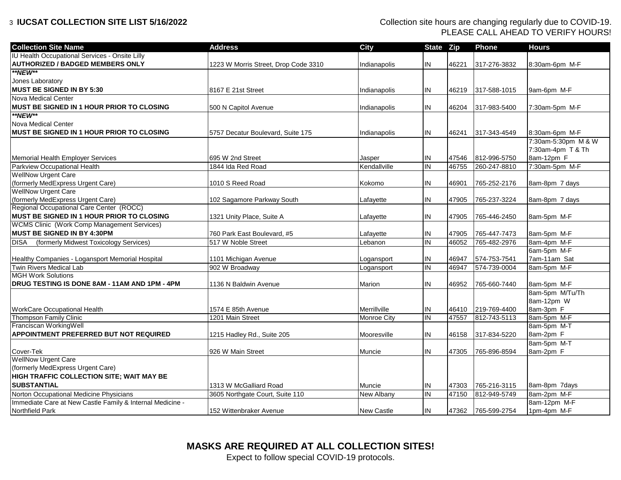| <b>Collection Site Name</b>                               | <b>Address</b>                       | <b>City</b>  | State Zip                     |       | <b>Phone</b>       | <b>Hours</b>               |
|-----------------------------------------------------------|--------------------------------------|--------------|-------------------------------|-------|--------------------|----------------------------|
| IU Health Occupational Services - Onsite Lilly            |                                      |              |                               |       |                    |                            |
| <b>AUTHORIZED / BADGED MEMBERS ONLY</b>                   | 1223 W Morris Street, Drop Code 3310 | Indianapolis | IN                            | 46221 | 317-276-3832       | 8:30am-6pm M-F             |
| **NEW**                                                   |                                      |              |                               |       |                    |                            |
| Jones Laboratory                                          |                                      |              |                               |       |                    |                            |
| MUST BE SIGNED IN BY 5:30                                 | 8167 E 21st Street                   | Indianapolis | IN                            | 46219 | 317-588-1015       | 9am-6pm M-F                |
| Nova Medical Center                                       |                                      |              |                               |       |                    |                            |
| IMUST BE SIGNED IN 1 HOUR PRIOR TO CLOSING                | 500 N Capitol Avenue                 | Indianapolis | IN                            | 46204 | 317-983-5400       | 7:30am-5pm M-F             |
| **NEW**                                                   |                                      |              |                               |       |                    |                            |
| Nova Medical Center                                       |                                      |              |                               |       |                    |                            |
| IMUST BE SIGNED IN 1 HOUR PRIOR TO CLOSING                | 5757 Decatur Boulevard, Suite 175    | Indianapolis | IN                            | 46241 | 317-343-4549       | 8:30am-6pm M-F             |
|                                                           |                                      |              |                               |       |                    | 7:30am-5:30pm M & W        |
|                                                           |                                      |              |                               |       |                    | 7:30am-4pm T & Th          |
| Memorial Health Employer Services                         | 695 W 2nd Street                     | Jasper       | IN                            | 47546 | 812-996-5750       | 8am-12pm F                 |
| Parkview Occupational Health                              | 1844 Ida Red Road                    | Kendallville | IN                            | 46755 | 260-247-8810       | 7:30am-5pm M-F             |
| <b>WellNow Urgent Care</b>                                |                                      |              |                               |       |                    |                            |
| (formerly MedExpress Urgent Care)                         | 1010 S Reed Road                     | Kokomo       | IN                            | 46901 | 765-252-2176       | 8am-8pm 7 days             |
| <b>WellNow Urgent Care</b>                                |                                      |              |                               |       |                    |                            |
| (formerly MedExpress Urgent Care)                         | 102 Sagamore Parkway South           | Lafayette    | IN                            | 47905 | 765-237-3224       | 8am-8pm 7 days             |
| Regional Occupational Care Center (ROCC)                  |                                      |              |                               |       |                    |                            |
| IMUST BE SIGNED IN 1 HOUR PRIOR TO CLOSING                | 1321 Unity Place, Suite A            | Lafayette    | IN                            | 47905 | 765-446-2450       | 8am-5pm M-F                |
| <b>WCMS Clinic (Work Comp Management Services)</b>        |                                      |              |                               |       |                    |                            |
| MUST BE SIGNED IN BY 4:30PM                               | 760 Park East Boulevard, #5          | Lafayette    | IN                            | 47905 | 765-447-7473       | 8am-5pm M-F                |
| <b>DISA</b><br>(formerly Midwest Toxicology Services)     | 517 W Noble Street                   | Lebanon      | IN                            | 46052 | 765-482-2976       | 8am-4pm M-F                |
|                                                           |                                      |              |                               |       |                    | 6am-5pm M-F                |
| Healthy Companies - Logansport Memorial Hospital          | 1101 Michigan Avenue                 | Logansport   | IN                            | 46947 | 574-753-7541       | 7am-11am Sat               |
| <b>Twin Rivers Medical Lab</b>                            | 902 W Broadway                       | Logansport   | $\overline{N}$                | 46947 | 574-739-0004       | 8am-5pm M-F                |
| <b>MGH Work Solutions</b>                                 |                                      |              |                               |       |                    |                            |
| DRUG TESTING IS DONE 8AM - 11AM AND 1PM - 4PM             | 1136 N Baldwin Avenue                | Marion       | IN                            | 46952 | 765-660-7440       | 8am-5pm M-F                |
|                                                           |                                      |              |                               |       |                    | 8am-5pm M/Tu/Th            |
|                                                           |                                      |              |                               |       |                    | 8am-12pm W                 |
| <b>WorkCare Occupational Health</b>                       | 1574 E 85th Avenue                   | Merrillville | IN<br>$\overline{\mathsf{z}}$ | 46410 | 219-769-4400       | 8am-3pm F                  |
| Thompson Family Clinic<br>Franciscan WorkingWell          | 1201 Main Street                     | Monroe City  |                               | 47557 | 812-743-5113       | 8am-5pm M-F<br>8am-5pm M-T |
| APPOINTMENT PREFERRED BUT NOT REQUIRED                    |                                      |              |                               |       | 317-834-5220       | 8am-2pm F                  |
|                                                           | 1215 Hadley Rd., Suite 205           | Mooresville  | IN                            | 46158 |                    | 8am-5pm M-T                |
| Cover-Tek                                                 | 926 W Main Street                    | Muncie       | IN                            | 47305 | 765-896-8594       | 8am-2pm F                  |
| <b>WellNow Urgent Care</b>                                |                                      |              |                               |       |                    |                            |
| (formerly MedExpress Urgent Care)                         |                                      |              |                               |       |                    |                            |
| <b>HIGH TRAFFIC COLLECTION SITE; WAIT MAY BE</b>          |                                      |              |                               |       |                    |                            |
| <b>SUBSTANTIAL</b>                                        | 1313 W McGalliard Road               | Muncie       | IN                            | 47303 | 765-216-3115       | 8am-8pm 7days              |
| Norton Occupational Medicine Physicians                   | 3605 Northgate Court, Suite 110      | New Albany   | IN                            | 47150 | 812-949-5749       | 8am-2pm M-F                |
| Immediate Care at New Castle Family & Internal Medicine - |                                      |              |                               |       |                    | 8am-12pm M-F               |
| <b>Northfield Park</b>                                    | 152 Wittenbraker Avenue              | New Castle   | IN                            |       | 47362 765-599-2754 | 1pm-4pm M-F                |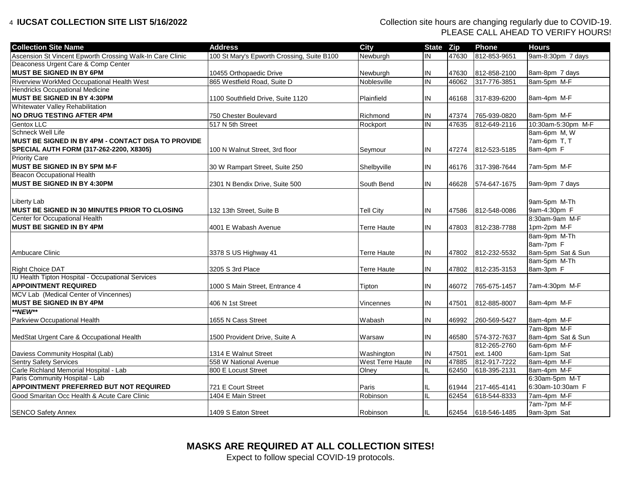| <b>Collection Site Name</b>                                              | <b>Address</b>                             | <b>City</b>        | State Zip                     |                | <b>Phone</b> | <b>Hours</b>               |
|--------------------------------------------------------------------------|--------------------------------------------|--------------------|-------------------------------|----------------|--------------|----------------------------|
| Ascension St Vincent Epworth Crossing Walk-In Care Clinic                | 100 St Mary's Epworth Crossing, Suite B100 | Newburgh           | IN                            | 47630          | 812-853-9651 | 9am-8:30pm 7 days          |
| Deaconess Urgent Care & Comp Center                                      |                                            |                    |                               |                |              |                            |
| MUST BE SIGNED IN BY 6PM                                                 | 10455 Orthopaedic Drive                    | Newburgh           | IN                            | 47630          | 812-858-2100 | 8am-8pm 7 days             |
| Riverview WorkMed Occupational Health West                               | 865 Westfield Road, Suite D                | Noblesville        | IN                            | 46062          | 317-776-3851 | 8am-5pm M-F                |
| <b>Hendricks Occupational Medicine</b>                                   |                                            |                    |                               |                |              |                            |
| MUST BE SIGNED IN BY 4:30PM                                              | 1100 Southfield Drive, Suite 1120          | Plainfield         | IN                            | 46168          | 317-839-6200 | 8am-4pm M-F                |
| Whitewater Valley Rehabilitation                                         |                                            |                    |                               |                |              |                            |
| <b>NO DRUG TESTING AFTER 4PM</b>                                         | 750 Chester Boulevard                      | Richmond           | IN                            | 47374          | 765-939-0820 | 8am-5pm M-F                |
| Gentox LLC                                                               | 517 N 5th Street                           | Rockport           | $\sf IN$                      | 47635          | 812-649-2116 | 10:30am-5:30pm M-F         |
| <b>Schneck Well Life</b>                                                 |                                            |                    |                               |                |              | 8am-6pm M, W               |
| MUST BE SIGNED IN BY 4PM - CONTACT DISA TO PROVIDE                       |                                            |                    |                               |                |              | 7am-6pm T, T               |
| SPECIAL AUTH FORM (317-262-2200, X8305)                                  | 100 N Walnut Street, 3rd floor             | Seymour            | IN                            | 47274          | 812-523-5185 | 8am-4pm F                  |
| <b>Priority Care</b>                                                     |                                            |                    |                               |                |              |                            |
| MUST BE SIGNED IN BY 5PM M-F                                             | 30 W Rampart Street, Suite 250             | Shelbyville        | IN                            | 46176          | 317-398-7644 | 7am-5pm M-F                |
| <b>Beacon Occupational Health</b>                                        |                                            |                    |                               |                |              |                            |
| MUST BE SIGNED IN BY 4:30PM                                              | 2301 N Bendix Drive, Suite 500             | South Bend         | IN                            | 46628          | 574-647-1675 | 9am-9pm 7 days             |
|                                                                          |                                            |                    |                               |                |              |                            |
| Liberty Lab                                                              |                                            |                    |                               |                |              | 9am-5pm M-Th               |
| MUST BE SIGNED IN 30 MINUTES PRIOR TO CLOSING                            | 132 13th Street, Suite B                   | <b>Tell City</b>   | IN                            | 47586          | 812-548-0086 | 9am-4:30pm F               |
| Center for Occupational Health                                           |                                            |                    |                               |                |              | 8:30am-9am M-F             |
| <b>IMUST BE SIGNED IN BY 4PM</b>                                         | 4001 E Wabash Avenue                       | Terre Haute        | IN                            | 47803          | 812-238-7788 | 1pm-2pm M-F                |
|                                                                          |                                            |                    |                               |                |              | 8am-9pm M-Th               |
|                                                                          |                                            |                    |                               |                |              | 8am-7pm F                  |
| Ambucare Clinic                                                          | 3378 S US Highway 41                       | <b>Terre Haute</b> | IN                            | 47802          | 812-232-5532 | 8am-5pm Sat & Sun          |
|                                                                          |                                            |                    |                               |                |              | 8am-5pm M-Th               |
| Right Choice DAT                                                         | 3205 S 3rd Place                           | Terre Haute        | IN                            | 47802          | 812-235-3153 | 8am-3pm F                  |
| IU Health Tipton Hospital - Occupational Services                        |                                            |                    |                               |                |              |                            |
| <b>APPOINTMENT REQUIRED</b>                                              | 1000 S Main Street, Entrance 4             | Tipton             | IN                            | 46072          | 765-675-1457 | 7am-4:30pm M-F             |
| MCV Lab (Medical Center of Vincennes)                                    |                                            |                    |                               |                |              |                            |
| <b>MUST BE SIGNED IN BY 4PM</b>                                          | 406 N 1st Street                           | Vincennes          | ${\sf IN}$                    | 47501          | 812-885-8007 | 8am-4pm M-F                |
| **NEW**                                                                  |                                            |                    |                               |                |              |                            |
| Parkview Occupational Health                                             | 1655 N Cass Street                         | Wabash             | IN                            | 46992          | 260-569-5427 | 8am-4pm M-F                |
|                                                                          |                                            |                    |                               |                |              | 7am-8pm M-F                |
| MedStat Urgent Care & Occupational Health                                | 1500 Provident Drive, Suite A              | Warsaw             | IN                            | 46580          | 574-372-7637 | 8am-4pm Sat & Sun          |
|                                                                          |                                            |                    |                               |                | 812-265-2760 | 6am-6pm M-F                |
| Daviess Community Hospital (Lab)                                         | 1314 E Walnut Street                       | Washington         | IN                            | 47501          | ext. 1400    | 6am-1pm Sat                |
| <b>Sentry Safety Services</b>                                            | 558 W National Avenue                      | West Terre Haute   | IN<br>$\overline{\mathsf{L}}$ | 47885<br>62450 | 812-917-7222 | 8am-4pm M-F<br>8am-4pm M-F |
| Carle Richland Memorial Hospital - Lab<br>Paris Community Hospital - Lab | 800 E Locust Street                        | Olney              |                               |                | 618-395-2131 | 6:30am-5pm M-T             |
| <b>APPOINTMENT PREFERRED BUT NOT REQUIRED</b>                            | 721 E Court Street                         | Paris              | IL.                           | 61944          | 217-465-4141 | 6:30am-10:30am F           |
| Good Smaritan Occ Health & Acute Care Clinic                             | 1404 E Main Street                         | Robinson           | ĪL.                           | 62454          | 618-544-8333 | 7am-4pm M-F                |
|                                                                          |                                            |                    |                               |                |              | 7am-7pm M-F                |
|                                                                          |                                            |                    |                               |                |              |                            |

**MASKS ARE REQUIRED AT ALL COLLECTION SITES!**